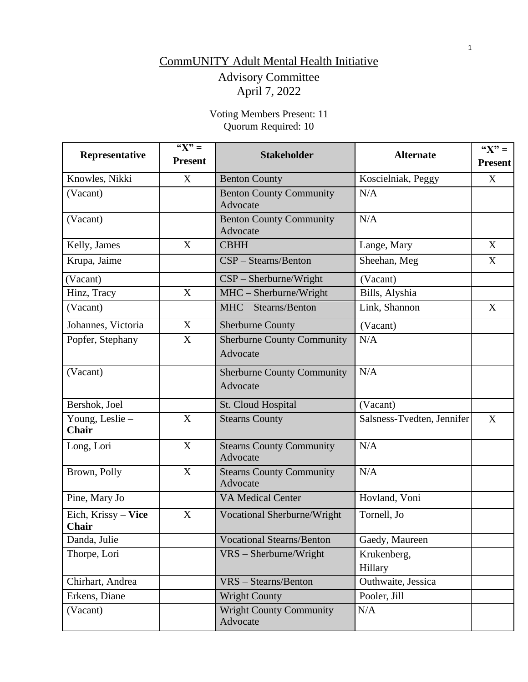# CommUNITY Adult Mental Health Initiative Advisory Committee April 7, 2022

Voting Members Present: 11 Quorum Required: 10

| Representative                  | " $X" =$<br><b>Present</b> | <b>Stakeholder</b>                            | <b>Alternate</b>           | " $X" =$<br><b>Present</b> |
|---------------------------------|----------------------------|-----------------------------------------------|----------------------------|----------------------------|
| Knowles, Nikki                  | X                          | <b>Benton County</b>                          | Koscielniak, Peggy         | X                          |
| (Vacant)                        |                            | <b>Benton County Community</b><br>Advocate    | N/A                        |                            |
| (Vacant)                        |                            | <b>Benton County Community</b><br>Advocate    | N/A                        |                            |
| Kelly, James                    | X                          | <b>CBHH</b>                                   | Lange, Mary                | X                          |
| Krupa, Jaime                    |                            | $CSP - Stearns/Benton$                        | Sheehan, Meg               | X                          |
| (Vacant)                        |                            | $CSP - Sherburne/Wright$                      | (Vacant)                   |                            |
| Hinz, Tracy                     | X                          | $MHC - Sherburne/Wright$                      | Bills, Alyshia             |                            |
| (Vacant)                        |                            | MHC - Stearns/Benton                          | Link, Shannon              | X                          |
| Johannes, Victoria              | X                          | <b>Sherburne County</b>                       | (Vacant)                   |                            |
| Popfer, Stephany                | X                          | <b>Sherburne County Community</b><br>Advocate | N/A                        |                            |
| (Vacant)                        |                            | <b>Sherburne County Community</b><br>Advocate | N/A                        |                            |
| Bershok, Joel                   |                            | St. Cloud Hospital                            | (Vacant)                   |                            |
| Young, Leslie -<br><b>Chair</b> | X                          | <b>Stearns County</b>                         | Salsness-Tvedten, Jennifer | X                          |
| Long, Lori                      | X                          | <b>Stearns County Community</b><br>Advocate   | N/A                        |                            |
| Brown, Polly                    | X                          | <b>Stearns County Community</b><br>Advocate   | N/A                        |                            |
| Pine, Mary Jo                   |                            | <b>VA Medical Center</b>                      | Hovland, Voni              |                            |
| Eich, Krissy - Vice<br>Chair    | X                          | Vocational Sherburne/Wright                   | Tornell, Jo                |                            |
| Danda, Julie                    |                            | <b>Vocational Stearns/Benton</b>              | Gaedy, Maureen             |                            |
| Thorpe, Lori                    |                            | $VRS - Sherburne/Wright$                      | Krukenberg,<br>Hillary     |                            |
| Chirhart, Andrea                |                            | VRS - Stearns/Benton                          | Outhwaite, Jessica         |                            |
| Erkens, Diane                   |                            | <b>Wright County</b>                          | Pooler, Jill               |                            |
| (Vacant)                        |                            | <b>Wright County Community</b><br>Advocate    | N/A                        |                            |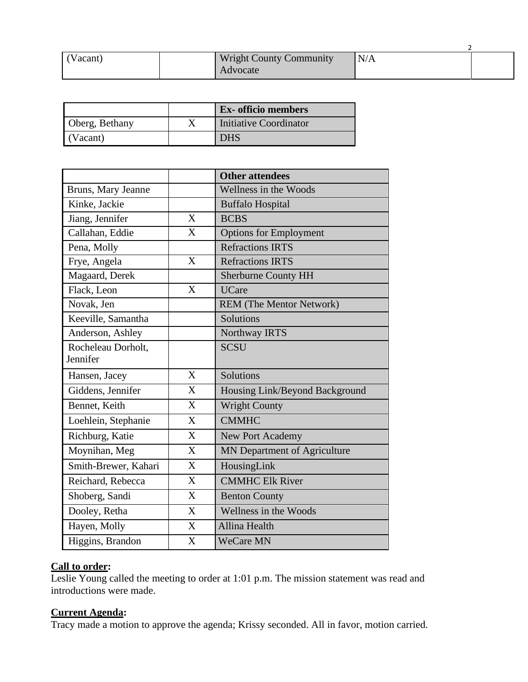| (Vacant) | <b>Wright County Community</b><br>Advocate | N/A |  |
|----------|--------------------------------------------|-----|--|

|                | <b>Ex-</b> officio members |
|----------------|----------------------------|
| Oberg, Bethany | Initiative Coordinator     |
| (Vacant)       | DHS                        |

|                      |              | <b>Other attendees</b>         |
|----------------------|--------------|--------------------------------|
| Bruns, Mary Jeanne   |              | Wellness in the Woods          |
| Kinke, Jackie        |              | <b>Buffalo Hospital</b>        |
| Jiang, Jennifer      | X            | <b>BCBS</b>                    |
| Callahan, Eddie      | $\mathbf{X}$ | <b>Options for Employment</b>  |
| Pena, Molly          |              | <b>Refractions IRTS</b>        |
| Frye, Angela         | X            | <b>Refractions IRTS</b>        |
| Magaard, Derek       |              | <b>Sherburne County HH</b>     |
| Flack, Leon          | X            | <b>UCare</b>                   |
| Novak, Jen           |              | REM (The Mentor Network)       |
| Keeville, Samantha   |              | Solutions                      |
| Anderson, Ashley     |              | Northway IRTS                  |
| Rocheleau Dorholt,   |              | <b>SCSU</b>                    |
| Jennifer             |              |                                |
| Hansen, Jacey        | $\mathbf{X}$ | Solutions                      |
| Giddens, Jennifer    | X            | Housing Link/Beyond Background |
| Bennet, Keith        | X            | <b>Wright County</b>           |
| Loehlein, Stephanie  | X            | <b>CMMHC</b>                   |
| Richburg, Katie      | X            | <b>New Port Academy</b>        |
| Moynihan, Meg        | X            | MN Department of Agriculture   |
| Smith-Brewer, Kahari | X            | HousingLink                    |
| Reichard, Rebecca    | $\mathbf{X}$ | <b>CMMHC Elk River</b>         |
| Shoberg, Sandi       | X            | <b>Benton County</b>           |
| Dooley, Retha        | $\mathbf{X}$ | Wellness in the Woods          |
| Hayen, Molly         | X            | Allina Health                  |
| Higgins, Brandon     | X            | <b>WeCare MN</b>               |

#### **Call to order:**

Leslie Young called the meeting to order at 1:01 p.m. The mission statement was read and introductions were made.

## **Current Agenda:**

Tracy made a motion to approve the agenda; Krissy seconded. All in favor, motion carried.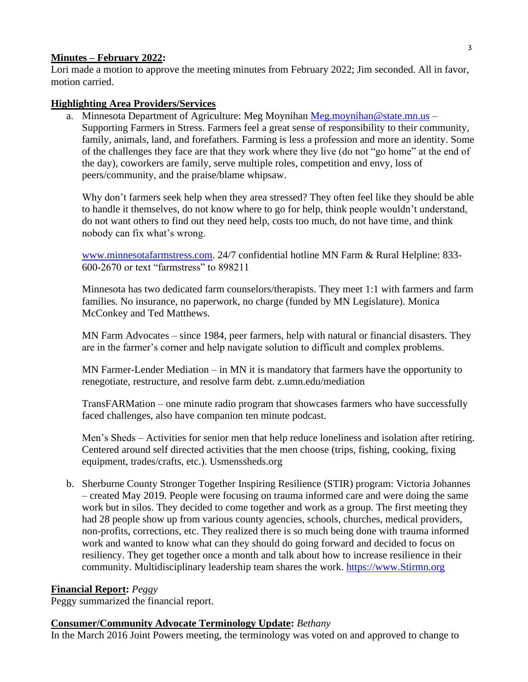## **Minutes – February 2022:**

Lori made a motion to approve the meeting minutes from February 2022; Jim seconded. All in favor, motion carried.

## **Highlighting Area Providers/Services**

a. Minnesota Department of Agriculture: Meg Moynihan [Meg.moynihan@state.mn.us](mailto:Meg.moynihan@state.mn.us) – Supporting Farmers in Stress. Farmers feel a great sense of responsibility to their community, family, animals, land, and forefathers. Farming is less a profession and more an identity. Some of the challenges they face are that they work where they live (do not "go home" at the end of the day), coworkers are family, serve multiple roles, competition and envy, loss of peers/community, and the praise/blame whipsaw.

Why don't farmers seek help when they area stressed? They often feel like they should be able to handle it themselves, do not know where to go for help, think people wouldn't understand, do not want others to find out they need help, costs too much, do not have time, and think nobody can fix what's wrong.

[www.minnesotafarmstress.com.](http://www.minnesotafarmstress.com/) 24/7 confidential hotline MN Farm & Rural Helpline: 833- 600-2670 or text "farmstress" to 898211

Minnesota has two dedicated farm counselors/therapists. They meet 1:1 with farmers and farm families. No insurance, no paperwork, no charge (funded by MN Legislature). Monica McConkey and Ted Matthews.

MN Farm Advocates – since 1984, peer farmers, help with natural or financial disasters. They are in the farmer's corner and help navigate solution to difficult and complex problems.

MN Farmer-Lender Mediation – in MN it is mandatory that farmers have the opportunity to renegotiate, restructure, and resolve farm debt. z.umn.edu/mediation

TransFARMation – one minute radio program that showcases farmers who have successfully faced challenges, also have companion ten minute podcast.

Men's Sheds – Activities for senior men that help reduce loneliness and isolation after retiring. Centered around self directed activities that the men choose (trips, fishing, cooking, fixing equipment, trades/crafts, etc.). Usmenssheds.org

b. Sherburne County Stronger Together Inspiring Resilience (STIR) program: Victoria Johannes – created May 2019. People were focusing on trauma informed care and were doing the same work but in silos. They decided to come together and work as a group. The first meeting they had 28 people show up from various county agencies, schools, churches, medical providers, non-profits, corrections, etc. They realized there is so much being done with trauma informed work and wanted to know what can they should do going forward and decided to focus on resiliency. They get together once a month and talk about how to increase resilience in their community. Multidisciplinary leadership team shares the work. [https://www.Stirmn.org](https://www.stirmn.org/)

## **Financial Report:** *Peggy*

Peggy summarized the financial report.

## **Consumer/Community Advocate Terminology Update:** *Bethany*

In the March 2016 Joint Powers meeting, the terminology was voted on and approved to change to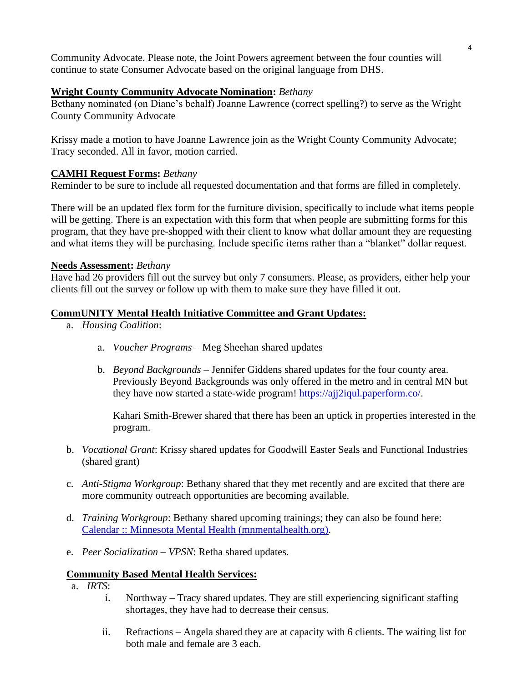Community Advocate. Please note, the Joint Powers agreement between the four counties will continue to state Consumer Advocate based on the original language from DHS.

## **Wright County Community Advocate Nomination:** *Bethany*

Bethany nominated (on Diane's behalf) Joanne Lawrence (correct spelling?) to serve as the Wright County Community Advocate

Krissy made a motion to have Joanne Lawrence join as the Wright County Community Advocate; Tracy seconded. All in favor, motion carried.

## **CAMHI Request Forms:** *Bethany*

Reminder to be sure to include all requested documentation and that forms are filled in completely.

There will be an updated flex form for the furniture division, specifically to include what items people will be getting. There is an expectation with this form that when people are submitting forms for this program, that they have pre-shopped with their client to know what dollar amount they are requesting and what items they will be purchasing. Include specific items rather than a "blanket" dollar request.

## **Needs Assessment:** *Bethany*

Have had 26 providers fill out the survey but only 7 consumers. Please, as providers, either help your clients fill out the survey or follow up with them to make sure they have filled it out.

## **CommUNITY Mental Health Initiative Committee and Grant Updates:**

- a. *Housing Coalition*:
	- a. *Voucher Programs* Meg Sheehan shared updates
	- b. *Beyond Backgrounds* Jennifer Giddens shared updates for the four county area. Previously Beyond Backgrounds was only offered in the metro and in central MN but they have now started a state-wide program! [https://ajj2iqul.paperform.co/.](https://ajj2iqul.paperform.co/)

Kahari Smith-Brewer shared that there has been an uptick in properties interested in the program.

- b. *Vocational Grant*: Krissy shared updates for Goodwill Easter Seals and Functional Industries (shared grant)
- c. *Anti-Stigma Workgroup*: Bethany shared that they met recently and are excited that there are more community outreach opportunities are becoming available.
- d. *Training Workgroup*: Bethany shared upcoming trainings; they can also be found here: [Calendar :: Minnesota Mental Health \(mnmentalhealth.org\).](http://mnmentalhealth.org/calendar)
- e. *Peer Socialization – VPSN*: Retha shared updates.

## **Community Based Mental Health Services:**

- a. *IRTS*:
	- i. Northway Tracy shared updates. They are still experiencing significant staffing shortages, they have had to decrease their census.
	- ii. Refractions Angela shared they are at capacity with 6 clients. The waiting list for both male and female are 3 each.